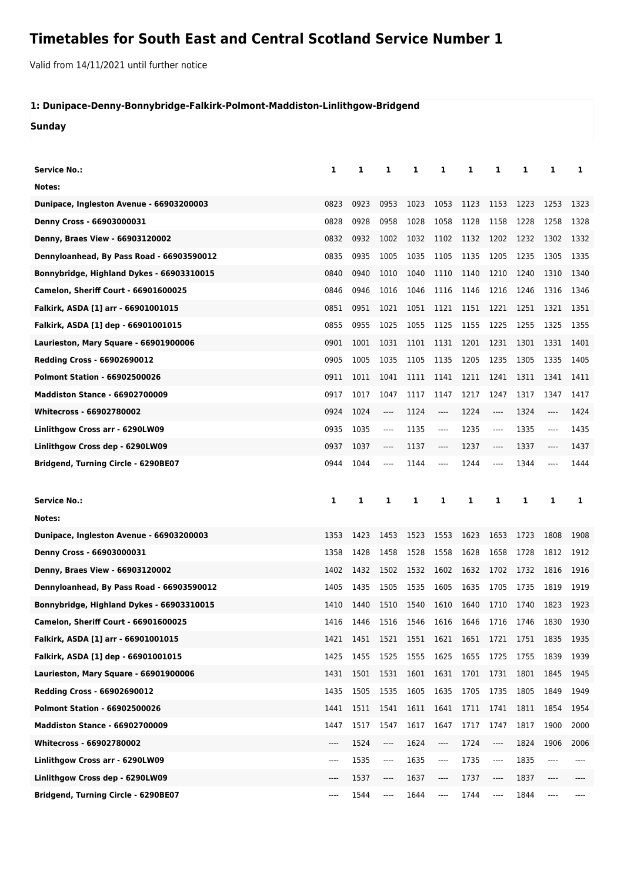## **Timetables for South East and Central Scotland Service Number 1**

Valid from 14/11/2021 until further notice

## **1: Dunipace-Denny-Bonnybridge-Falkirk-Polmont-Maddiston-Linlithgow-Bridgend**

**Sunday**

| Service No.:                                | 1    | 1    | 1     | 1    | 1                             | 1    | 1    | 1    | 1    | 1    |
|---------------------------------------------|------|------|-------|------|-------------------------------|------|------|------|------|------|
| Notes:                                      |      |      |       |      |                               |      |      |      |      |      |
| Dunipace, Ingleston Avenue - 66903200003    | 0823 | 0923 | 0953  | 1023 | 1053                          | 1123 | 1153 | 1223 | 1253 | 1323 |
| Denny Cross - 66903000031                   | 0828 | 0928 | 0958  | 1028 | 1058                          | 1128 | 1158 | 1228 | 1258 | 1328 |
| Denny, Braes View - 66903120002             | 0832 | 0932 | 1002  | 1032 | 1102                          | 1132 | 1202 | 1232 | 1302 | 1332 |
| Dennyloanhead, By Pass Road - 66903590012   | 0835 | 0935 | 1005  | 1035 | 1105                          | 1135 | 1205 | 1235 | 1305 | 1335 |
| Bonnybridge, Highland Dykes - 66903310015   | 0840 | 0940 | 1010  | 1040 | 1110                          | 1140 | 1210 | 1240 | 1310 | 1340 |
| <b>Camelon, Sheriff Court - 66901600025</b> | 0846 | 0946 | 1016  | 1046 | 1116                          | 1146 | 1216 | 1246 | 1316 | 1346 |
| Falkirk, ASDA [1] arr - 66901001015         | 0851 | 0951 | 1021  | 1051 | 1121                          | 1151 | 1221 | 1251 | 1321 | 1351 |
| Falkirk, ASDA [1] dep - 66901001015         | 0855 | 0955 | 1025  | 1055 | 1125                          | 1155 | 1225 | 1255 | 1325 | 1355 |
| Laurieston, Mary Square - 66901900006       | 0901 | 1001 | 1031  | 1101 | 1131                          | 1201 | 1231 | 1301 | 1331 | 1401 |
| <b>Redding Cross - 66902690012</b>          | 0905 | 1005 | 1035  | 1105 | 1135                          | 1205 | 1235 | 1305 | 1335 | 1405 |
| <b>Polmont Station - 66902500026</b>        | 0911 | 1011 | 1041  | 1111 | 1141                          | 1211 | 1241 | 1311 | 1341 | 1411 |
| <b>Maddiston Stance - 66902700009</b>       | 0917 | 1017 | 1047  | 1117 | 1147                          | 1217 | 1247 | 1317 | 1347 | 1417 |
| <b>Whitecross - 66902780002</b>             | 0924 | 1024 | $---$ | 1124 | $\hspace{1.5cm} \textbf{---}$ | 1224 | ---- | 1324 | ---- | 1424 |
| Linlithgow Cross arr - 6290LW09             | 0935 | 1035 | ----  | 1135 | $---$                         | 1235 | ---- | 1335 | ---- | 1435 |
| Linlithgow Cross dep - 6290LW09             | 0937 | 1037 | ----  | 1137 | ----                          | 1237 | ---- | 1337 | ---- | 1437 |
| Bridgend, Turning Circle - 6290BE07         | 0944 | 1044 | ----  | 1144 | ----                          | 1244 | ---- | 1344 | ---- | 1444 |
|                                             |      |      |       |      |                               |      |      |      |      |      |
|                                             |      |      |       |      |                               |      |      |      |      |      |
| <b>Service No.:</b>                         | 1    | 1    | 1     | 1    | 1                             | 1    | 1    | 1    | 1    | 1    |
| Notes:                                      |      |      |       |      |                               |      |      |      |      |      |
| Dunipace, Ingleston Avenue - 66903200003    | 1353 | 1423 | 1453  | 1523 | 1553                          | 1623 | 1653 | 1723 | 1808 | 1908 |
| Denny Cross - 66903000031                   | 1358 | 1428 | 1458  | 1528 | 1558                          | 1628 | 1658 | 1728 | 1812 | 1912 |
| Denny, Braes View - 66903120002             | 1402 | 1432 | 1502  | 1532 | 1602                          | 1632 | 1702 | 1732 | 1816 | 1916 |
| Dennyloanhead, By Pass Road - 66903590012   | 1405 | 1435 | 1505  | 1535 | 1605                          | 1635 | 1705 | 1735 | 1819 | 1919 |
| Bonnybridge, Highland Dykes - 66903310015   | 1410 | 1440 | 1510  | 1540 | 1610                          | 1640 | 1710 | 1740 | 1823 | 1923 |
| Camelon, Sheriff Court - 66901600025        | 1416 | 1446 |       |      | 1516 1546 1616 1646 1716      |      |      | 1746 | 1830 | 1930 |
| Falkirk, ASDA [1] arr - 66901001015         | 1421 | 1451 | 1521  | 1551 | 1621                          | 1651 | 1721 | 1751 | 1835 | 1935 |
| Falkirk, ASDA [1] dep - 66901001015         | 1425 | 1455 | 1525  | 1555 | 1625                          | 1655 | 1725 | 1755 | 1839 | 1939 |
| Laurieston, Mary Square - 66901900006       | 1431 | 1501 | 1531  | 1601 | 1631                          | 1701 | 1731 | 1801 | 1845 | 1945 |
| Redding Cross - 66902690012                 | 1435 | 1505 | 1535  | 1605 | 1635                          | 1705 | 1735 | 1805 | 1849 | 1949 |
| <b>Polmont Station - 66902500026</b>        | 1441 | 1511 | 1541  | 1611 | 1641                          | 1711 | 1741 | 1811 | 1854 | 1954 |
| <b>Maddiston Stance - 66902700009</b>       | 1447 | 1517 | 1547  | 1617 | 1647                          | 1717 | 1747 | 1817 | 1900 | 2000 |
| Whitecross - 66902780002                    | ---- | 1524 | ----  | 1624 | ----                          | 1724 | ---- | 1824 | 1906 | 2006 |
| Linlithgow Cross arr - 6290LW09             | ---- | 1535 | ----  | 1635 | ----                          | 1735 | ---- | 1835 | ---- |      |
| Linlithgow Cross dep - 6290LW09             | ---- | 1537 | ----  | 1637 | ----                          | 1737 | ---- | 1837 | ---- |      |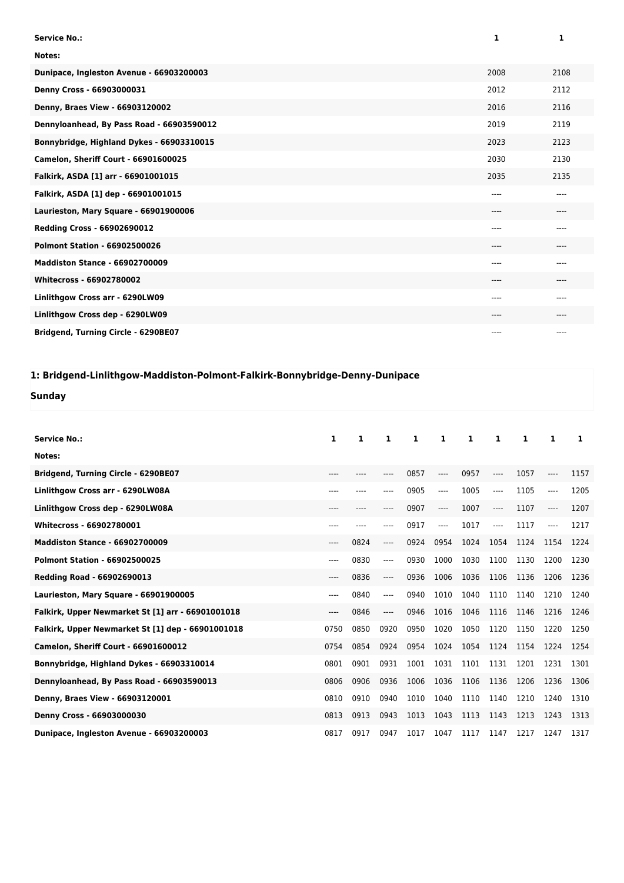| <b>Service No.:</b>                       | 1        | 1    |
|-------------------------------------------|----------|------|
| Notes:                                    |          |      |
| Dunipace, Ingleston Avenue - 66903200003  | 2008     | 2108 |
| Denny Cross - 66903000031                 | 2012     | 2112 |
| Denny, Braes View - 66903120002           | 2016     | 2116 |
| Dennyloanhead, By Pass Road - 66903590012 | 2019     | 2119 |
| Bonnybridge, Highland Dykes - 66903310015 | 2023     | 2123 |
| Camelon, Sheriff Court - 66901600025      | 2030     | 2130 |
| Falkirk, ASDA [1] arr - 66901001015       | 2035     | 2135 |
| Falkirk, ASDA [1] dep - 66901001015       | $---$    | ---- |
| Laurieston, Mary Square - 66901900006     | $---$    | ---- |
| <b>Redding Cross - 66902690012</b>        | $---$    | ---- |
| <b>Polmont Station - 66902500026</b>      | $---$    | ---- |
| <b>Maddiston Stance - 66902700009</b>     | $---$    | ---- |
| <b>Whitecross - 66902780002</b>           | $---$    | ---- |
| Linlithgow Cross arr - 6290LW09           | $-- - -$ | ---- |
| Linlithgow Cross dep - 6290LW09           | ----     | ---- |
| Bridgend, Turning Circle - 6290BE07       | $---$    | ---- |

## **1: Bridgend-Linlithgow-Maddiston-Polmont-Falkirk-Bonnybridge-Denny-Dunipace**

**Sunday**

| <b>Service No.:</b>                               | 1      | 1     | 1     | 1    | 1     | 1    | 1     | 1    | 1     | 1    |
|---------------------------------------------------|--------|-------|-------|------|-------|------|-------|------|-------|------|
| Notes:                                            |        |       |       |      |       |      |       |      |       |      |
| Bridgend, Turning Circle - 6290BE07               | $----$ | $---$ |       | 0857 | $---$ | 0957 | $---$ | 1057 | ----  | 1157 |
| Linlithgow Cross arr - 6290LW08A                  | ----   |       |       | 0905 | $---$ | 1005 | $---$ | 1105 | ----  | 1205 |
| Linlithgow Cross dep - 6290LW08A                  | $---$  |       |       | 0907 | ----  | 1007 | $---$ | 1107 | $---$ | 1207 |
| Whitecross - 66902780001                          | $---$  |       | ----  | 0917 | $---$ | 1017 | $---$ | 1117 | ----  | 1217 |
| <b>Maddiston Stance - 66902700009</b>             | $---$  | 0824  | ----  | 0924 | 0954  | 1024 | 1054  | 1124 | 1154  | 1224 |
| <b>Polmont Station - 66902500025</b>              | ----   | 0830  | ----  | 0930 | 1000  | 1030 | 1100  | 1130 | 1200  | 1230 |
| Redding Road - 66902690013                        | $---$  | 0836  | $---$ | 0936 | 1006  | 1036 | 1106  | 1136 | 1206  | 1236 |
| Laurieston, Mary Square - 66901900005             | $---$  | 0840  | $---$ | 0940 | 1010  | 1040 | 1110  | 1140 | 1210  | 1240 |
| Falkirk, Upper Newmarket St [1] arr - 66901001018 | $---$  | 0846  | $---$ | 0946 | 1016  | 1046 | 1116  | 1146 | 1216  | 1246 |
| Falkirk, Upper Newmarket St [1] dep - 66901001018 | 0750   | 0850  | 0920  | 0950 | 1020  | 1050 | 1120  | 1150 | 1220  | 1250 |
| <b>Camelon, Sheriff Court - 66901600012</b>       | 0754   | 0854  | 0924  | 0954 | 1024  | 1054 | 1124  | 1154 | 1224  | 1254 |
| Bonnybridge, Highland Dykes - 66903310014         | 0801   | 0901  | 0931  | 1001 | 1031  | 1101 | 1131  | 1201 | 1231  | 1301 |
| Dennyloanhead, By Pass Road - 66903590013         | 0806   | 0906  | 0936  | 1006 | 1036  | 1106 | 1136  | 1206 | 1236  | 1306 |
| Denny, Braes View - 66903120001                   | 0810   | 0910  | 0940  | 1010 | 1040  | 1110 | 1140  | 1210 | 1240  | 1310 |
| Denny Cross - 66903000030                         | 0813   | 0913  | 0943  | 1013 | 1043  | 1113 | 1143  | 1213 | 1243  | 1313 |
| Dunipace, Ingleston Avenue - 66903200003          | 0817   | 0917  | 0947  | 1017 | 1047  | 1117 | 1147  | 1217 | 1247  | 1317 |